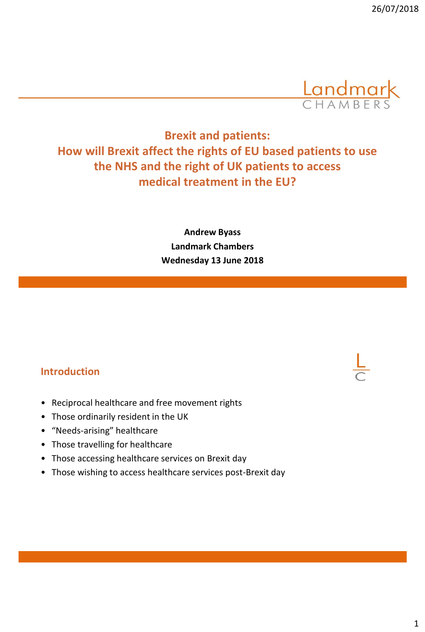

# **Brexit and patients: How will Brexit affect the rights of EU based patients to use the NHS and the right of UK patients to access medical treatment in the EU?**

**Andrew Byass Landmark Chambers Wednesday 13 June 2018**

#### **Introduction**

- Reciprocal healthcare and free movement rights
- Those ordinarily resident in the UK
- "Needs-arising" healthcare
- Those travelling for healthcare
- Those accessing healthcare services on Brexit day
- Those wishing to access healthcare services post-Brexit day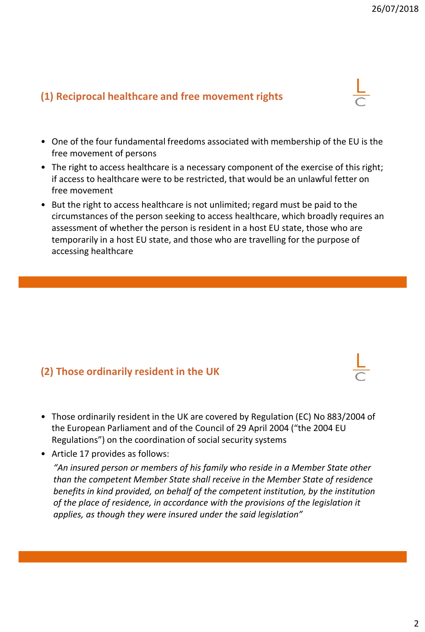### **(1) Reciprocal healthcare and free movement rights**

- One of the four fundamental freedoms associated with membership of the EU is the free movement of persons
- The right to access healthcare is a necessary component of the exercise of this right; if access to healthcare were to be restricted, that would be an unlawful fetter on free movement
- But the right to access healthcare is not unlimited; regard must be paid to the circumstances of the person seeking to access healthcare, which broadly requires an assessment of whether the person is resident in a host EU state, those who are temporarily in a host EU state, and those who are travelling for the purpose of accessing healthcare

### **(2) Those ordinarily resident in the UK**

- Those ordinarily resident in the UK are covered by Regulation (EC) No 883/2004 of the European Parliament and of the Council of 29 April 2004 ("the 2004 EU Regulations") on the coordination of social security systems
- Article 17 provides as follows:

*"An insured person or members of his family who reside in a Member State other than the competent Member State shall receive in the Member State of residence benefits in kind provided, on behalf of the competent institution, by the institution of the place of residence, in accordance with the provisions of the legislation it applies, as though they were insured under the said legislation"*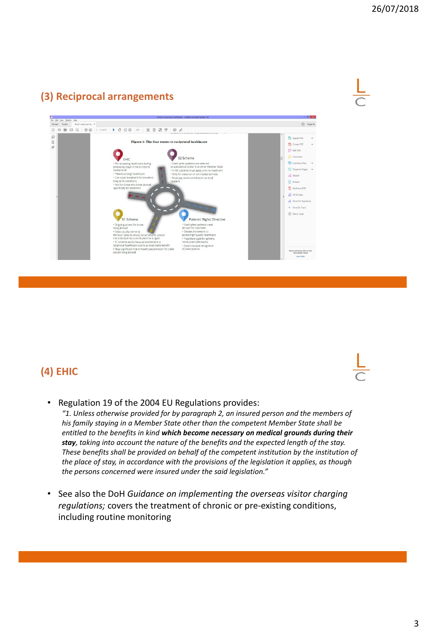# **(3) Reciprocal arrangements**





# **(4) EHIC**

• Regulation 19 of the 2004 EU Regulations provides:

*"1. Unless otherwise provided for by paragraph 2, an insured person and the members of his family staying in a Member State other than the competent Member State shall be entitled to the benefits in kind which become necessary on medical grounds during their stay, taking into account the nature of the benefits and the expected length of the stay. These benefits shall be provided on behalf of the competent institution by the institution of the place of stay, in accordance with the provisions of the legislation it applies, as though the persons concerned were insured under the said legislation."*

• See also the DoH *Guidance on implementing the overseas visitor charging regulations;* covers the treatment of chronic or pre-existing conditions, including routine monitoring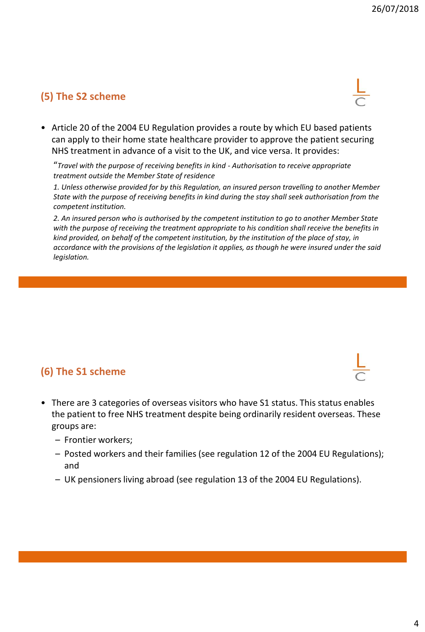## **(5) The S2 scheme**

• Article 20 of the 2004 EU Regulation provides a route by which EU based patients can apply to their home state healthcare provider to approve the patient securing NHS treatment in advance of a visit to the UK, and vice versa. It provides:

"*Travel with the purpose of receiving benefits in kind - Authorisation to receive appropriate treatment outside the Member State of residence*

*1. Unless otherwise provided for by this Regulation, an insured person travelling to another Member State with the purpose of receiving benefits in kind during the stay shall seek authorisation from the competent institution.*

*2. An insured person who is authorised by the competent institution to go to another Member State with the purpose of receiving the treatment appropriate to his condition shall receive the benefits in kind provided, on behalf of the competent institution, by the institution of the place of stay, in accordance with the provisions of the legislation it applies, as though he were insured under the said legislation.* 

### **(6) The S1 scheme**

- There are 3 categories of overseas visitors who have S1 status. This status enables the patient to free NHS treatment despite being ordinarily resident overseas. These groups are:
	- Frontier workers;
	- Posted workers and their families (see regulation 12 of the 2004 EU Regulations); and
	- UK pensioners living abroad (see regulation 13 of the 2004 EU Regulations).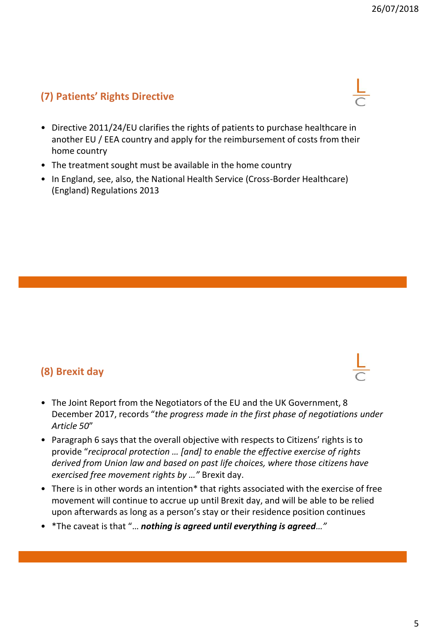## **(7) Patients' Rights Directive**

- Directive 2011/24/EU clarifies the rights of patients to purchase healthcare in another EU / EEA country and apply for the reimbursement of costs from their home country
- The treatment sought must be available in the home country
- In England, see, also, the National Health Service (Cross-Border Healthcare) (England) Regulations 2013

## **(8) Brexit day**

- The Joint Report from the Negotiators of the EU and the UK Government, 8 December 2017, records "*the progress made in the first phase of negotiations under Article 50*"
- Paragraph 6 says that the overall objective with respects to Citizens' rights is to provide "*reciprocal protection … [and] to enable the effective exercise of rights derived from Union law and based on past life choices, where those citizens have exercised free movement rights by …"* Brexit day.
- There is in other words an intention\* that rights associated with the exercise of free movement will continue to accrue up until Brexit day, and will be able to be relied upon afterwards as long as a person's stay or their residence position continues
- \*The caveat is that "… *nothing is agreed until everything is agreed…"*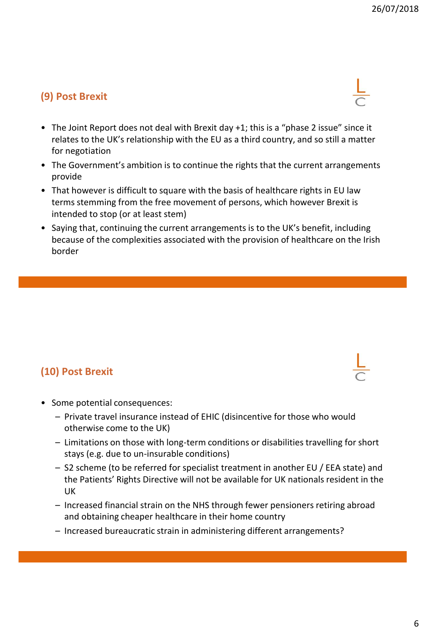## **(9) Post Brexit**

- The Joint Report does not deal with Brexit day +1; this is a "phase 2 issue" since it relates to the UK's relationship with the EU as a third country, and so still a matter for negotiation
- The Government's ambition is to continue the rights that the current arrangements provide
- That however is difficult to square with the basis of healthcare rights in EU law terms stemming from the free movement of persons, which however Brexit is intended to stop (or at least stem)
- Saying that, continuing the current arrangements is to the UK's benefit, including because of the complexities associated with the provision of healthcare on the Irish border

## **(10) Post Brexit**

- Some potential consequences:
	- Private travel insurance instead of EHIC (disincentive for those who would otherwise come to the UK)
	- Limitations on those with long-term conditions or disabilities travelling for short stays (e.g. due to un-insurable conditions)
	- S2 scheme (to be referred for specialist treatment in another EU / EEA state) and the Patients' Rights Directive will not be available for UK nationals resident in the UK
	- Increased financial strain on the NHS through fewer pensioners retiring abroad and obtaining cheaper healthcare in their home country
	- Increased bureaucratic strain in administering different arrangements?